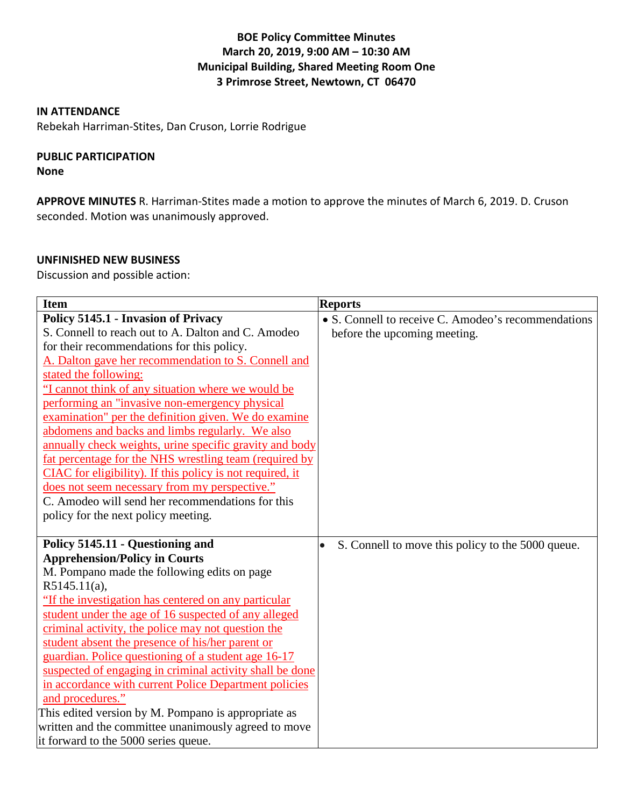## **BOE Policy Committee Minutes March 20, 2019, 9:00 AM – 10:30 AM Municipal Building, Shared Meeting Room One 3 Primrose Street, Newtown, CT 06470**

#### **IN ATTENDANCE**

Rebekah Harriman-Stites, Dan Cruson, Lorrie Rodrigue

# **PUBLIC PARTICIPATION**

**None**

**APPROVE MINUTES** R. Harriman-Stites made a motion to approve the minutes of March 6, 2019. D. Cruson seconded. Motion was unanimously approved.

## **UNFINISHED NEW BUSINESS**

Discussion and possible action:

| <b>Item</b>                                               | <b>Reports</b>                                                 |
|-----------------------------------------------------------|----------------------------------------------------------------|
| <b>Policy 5145.1 - Invasion of Privacy</b>                | • S. Connell to receive C. Amodeo's recommendations            |
| S. Connell to reach out to A. Dalton and C. Amodeo        | before the upcoming meeting.                                   |
| for their recommendations for this policy.                |                                                                |
| A. Dalton gave her recommendation to S. Connell and       |                                                                |
| stated the following:                                     |                                                                |
| "I cannot think of any situation where we would be        |                                                                |
| performing an "invasive non-emergency physical            |                                                                |
| examination" per the definition given. We do examine      |                                                                |
| abdomens and backs and limbs regularly. We also           |                                                                |
| annually check weights, urine specific gravity and body   |                                                                |
| fat percentage for the NHS wrestling team (required by    |                                                                |
| CIAC for eligibility). If this policy is not required, it |                                                                |
| does not seem necessary from my perspective."             |                                                                |
| C. Amodeo will send her recommendations for this          |                                                                |
| policy for the next policy meeting.                       |                                                                |
|                                                           |                                                                |
| Policy 5145.11 - Questioning and                          | S. Connell to move this policy to the 5000 queue.<br>$\bullet$ |
| <b>Apprehension/Policy in Courts</b>                      |                                                                |
| M. Pompano made the following edits on page               |                                                                |
| $R5145.11(a)$ ,                                           |                                                                |
| "If the investigation has centered on any particular      |                                                                |
| student under the age of 16 suspected of any alleged      |                                                                |
| criminal activity, the police may not question the        |                                                                |
| student absent the presence of his/her parent or          |                                                                |
| guardian. Police questioning of a student age 16-17       |                                                                |
| suspected of engaging in criminal activity shall be done  |                                                                |
| in accordance with current Police Department policies     |                                                                |
| and procedures."                                          |                                                                |
| This edited version by M. Pompano is appropriate as       |                                                                |
| written and the committee unanimously agreed to move      |                                                                |
| it forward to the 5000 series queue.                      |                                                                |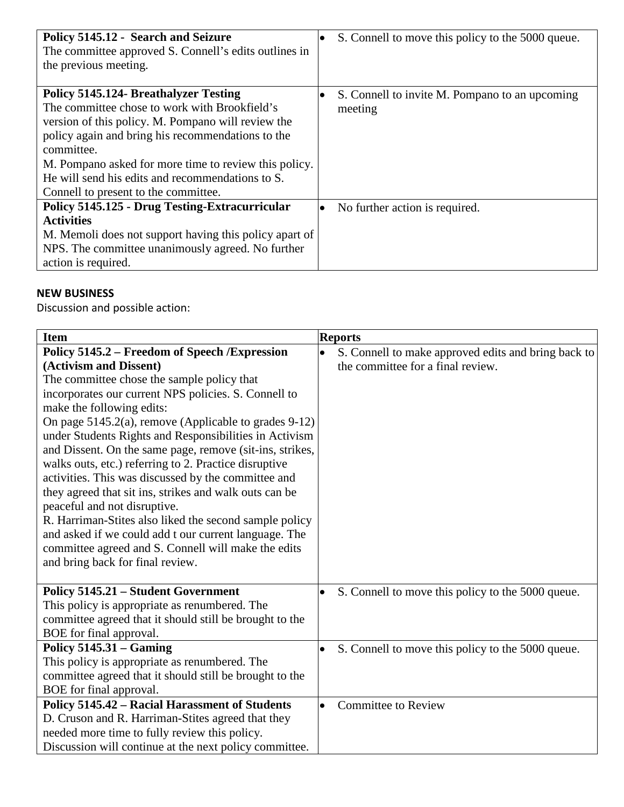| Policy 5145.12 - Search and Seizure<br>The committee approved S. Connell's edits outlines in<br>the previous meeting.                                                                                                                                                                                                                                                       | S. Connell to move this policy to the 5000 queue.<br>$\bullet$ |
|-----------------------------------------------------------------------------------------------------------------------------------------------------------------------------------------------------------------------------------------------------------------------------------------------------------------------------------------------------------------------------|----------------------------------------------------------------|
| <b>Policy 5145.124- Breathalyzer Testing</b><br>The committee chose to work with Brookfield's<br>version of this policy. M. Pompano will review the<br>policy again and bring his recommendations to the<br>committee.<br>M. Pompano asked for more time to review this policy.<br>He will send his edits and recommendations to S.<br>Connell to present to the committee. | S. Connell to invite M. Pompano to an upcoming<br>meeting      |
| Policy 5145.125 - Drug Testing-Extracurricular<br><b>Activities</b><br>M. Memoli does not support having this policy apart of<br>NPS. The committee unanimously agreed. No further<br>action is required.                                                                                                                                                                   | No further action is required.<br>$\bullet$                    |

# **NEW BUSINESS**

Discussion and possible action:

| <b>Item</b>                                                                                                                                                                                                                                                                                                                                                                                                                                                                                                                                                                                                                                                                                                                                                                                                        | <b>Reports</b>                                                                                        |
|--------------------------------------------------------------------------------------------------------------------------------------------------------------------------------------------------------------------------------------------------------------------------------------------------------------------------------------------------------------------------------------------------------------------------------------------------------------------------------------------------------------------------------------------------------------------------------------------------------------------------------------------------------------------------------------------------------------------------------------------------------------------------------------------------------------------|-------------------------------------------------------------------------------------------------------|
| Policy 5145.2 – Freedom of Speech / Expression<br>(Activism and Dissent)<br>The committee chose the sample policy that<br>incorporates our current NPS policies. S. Connell to<br>make the following edits:<br>On page 5145.2(a), remove (Applicable to grades 9-12)<br>under Students Rights and Responsibilities in Activism<br>and Dissent. On the same page, remove (sit-ins, strikes,<br>walks outs, etc.) referring to 2. Practice disruptive<br>activities. This was discussed by the committee and<br>they agreed that sit ins, strikes and walk outs can be<br>peaceful and not disruptive.<br>R. Harriman-Stites also liked the second sample policy<br>and asked if we could add t our current language. The<br>committee agreed and S. Connell will make the edits<br>and bring back for final review. | S. Connell to make approved edits and bring back to<br>$\bullet$<br>the committee for a final review. |
| Policy 5145.21 – Student Government<br>This policy is appropriate as renumbered. The<br>committee agreed that it should still be brought to the<br>BOE for final approval.                                                                                                                                                                                                                                                                                                                                                                                                                                                                                                                                                                                                                                         | S. Connell to move this policy to the 5000 queue.<br>$\bullet$                                        |
| Policy $5145.31 -$ Gaming<br>This policy is appropriate as renumbered. The<br>committee agreed that it should still be brought to the<br>BOE for final approval.                                                                                                                                                                                                                                                                                                                                                                                                                                                                                                                                                                                                                                                   | S. Connell to move this policy to the 5000 queue.<br>$\bullet$                                        |
| Policy 5145.42 - Racial Harassment of Students<br>D. Cruson and R. Harriman-Stites agreed that they<br>needed more time to fully review this policy.<br>Discussion will continue at the next policy committee.                                                                                                                                                                                                                                                                                                                                                                                                                                                                                                                                                                                                     | <b>Committee to Review</b><br>$\bullet$                                                               |